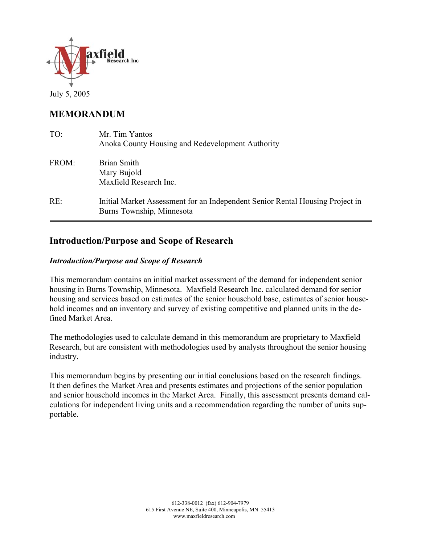

July 5, 2005

# **MEMORANDUM**

| TO:   | Mr. Tim Yantos<br>Anoka County Housing and Redevelopment Authority                                         |
|-------|------------------------------------------------------------------------------------------------------------|
| FROM: | Brian Smith<br>Mary Bujold<br>Maxfield Research Inc.                                                       |
| RE:   | Initial Market Assessment for an Independent Senior Rental Housing Project in<br>Burns Township, Minnesota |

# **Introduction/Purpose and Scope of Research**

### *Introduction/Purpose and Scope of Research*

This memorandum contains an initial market assessment of the demand for independent senior housing in Burns Township, Minnesota. Maxfield Research Inc. calculated demand for senior housing and services based on estimates of the senior household base, estimates of senior household incomes and an inventory and survey of existing competitive and planned units in the defined Market Area.

The methodologies used to calculate demand in this memorandum are proprietary to Maxfield Research, but are consistent with methodologies used by analysts throughout the senior housing industry.

This memorandum begins by presenting our initial conclusions based on the research findings. It then defines the Market Area and presents estimates and projections of the senior population and senior household incomes in the Market Area. Finally, this assessment presents demand calculations for independent living units and a recommendation regarding the number of units supportable.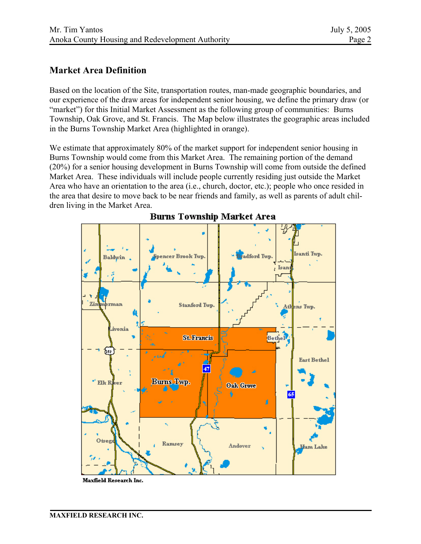### **Market Area Definition**

Based on the location of the Site, transportation routes, man-made geographic boundaries, and our experience of the draw areas for independent senior housing, we define the primary draw (or "market") for this Initial Market Assessment as the following group of communities: Burns Township, Oak Grove, and St. Francis. The Map below illustrates the geographic areas included in the Burns Township Market Area (highlighted in orange).

We estimate that approximately 80% of the market support for independent senior housing in Burns Township would come from this Market Area. The remaining portion of the demand (20%) for a senior housing development in Burns Township will come from outside the defined Market Area. These individuals will include people currently residing just outside the Market Area who have an orientation to the area (i.e., church, doctor, etc.); people who once resided in the area that desire to move back to be near friends and family, as well as parents of adult children living in the Market Area.



**Burns Township Market Area** 

Maxfield Research Inc.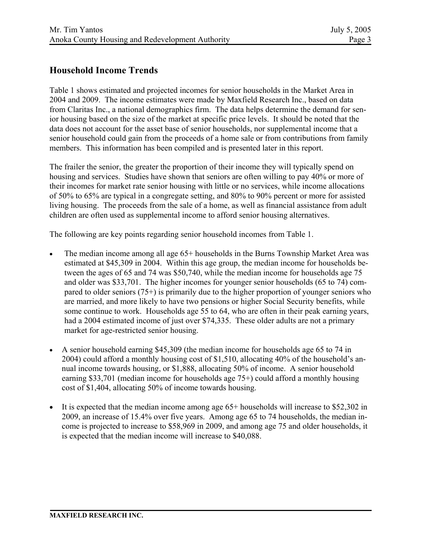## **Household Income Trends**

Table 1 shows estimated and projected incomes for senior households in the Market Area in 2004 and 2009. The income estimates were made by Maxfield Research Inc., based on data from Claritas Inc., a national demographics firm. The data helps determine the demand for senior housing based on the size of the market at specific price levels. It should be noted that the data does not account for the asset base of senior households, nor supplemental income that a senior household could gain from the proceeds of a home sale or from contributions from family members. This information has been compiled and is presented later in this report.

The frailer the senior, the greater the proportion of their income they will typically spend on housing and services. Studies have shown that seniors are often willing to pay 40% or more of their incomes for market rate senior housing with little or no services, while income allocations of 50% to 65% are typical in a congregate setting, and 80% to 90% percent or more for assisted living housing. The proceeds from the sale of a home, as well as financial assistance from adult children are often used as supplemental income to afford senior housing alternatives.

The following are key points regarding senior household incomes from Table 1.

- The median income among all age 65+ households in the Burns Township Market Area was estimated at \$45,309 in 2004. Within this age group, the median income for households between the ages of 65 and 74 was \$50,740, while the median income for households age 75 and older was \$33,701. The higher incomes for younger senior households (65 to 74) compared to older seniors (75+) is primarily due to the higher proportion of younger seniors who are married, and more likely to have two pensions or higher Social Security benefits, while some continue to work. Households age 55 to 64, who are often in their peak earning years, had a 2004 estimated income of just over \$74,335. These older adults are not a primary market for age-restricted senior housing.
- A senior household earning \$45,309 (the median income for households age 65 to 74 in 2004) could afford a monthly housing cost of \$1,510, allocating 40% of the household's annual income towards housing, or \$1,888, allocating 50% of income. A senior household earning \$33,701 (median income for households age 75+) could afford a monthly housing cost of \$1,404, allocating 50% of income towards housing.
- It is expected that the median income among age 65+ households will increase to \$52,302 in 2009, an increase of 15.4% over five years. Among age 65 to 74 households, the median income is projected to increase to \$58,969 in 2009, and among age 75 and older households, it is expected that the median income will increase to \$40,088.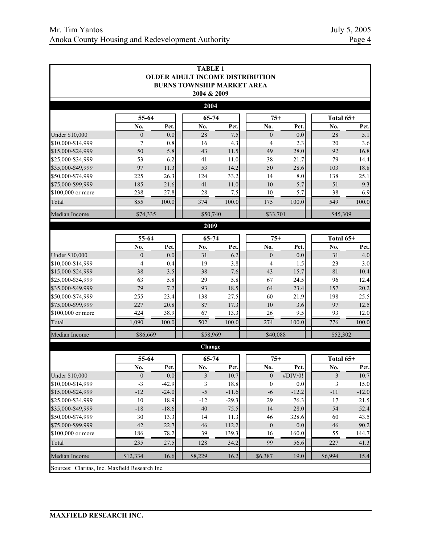|                                                |                         |             | <b>TABLE 1</b><br><b>OLDER ADULT INCOME DISTRIBUTION</b><br><b>BURNS TOWNSHIP MARKET AREA</b> |             |                       |             |           |             |  |
|------------------------------------------------|-------------------------|-------------|-----------------------------------------------------------------------------------------------|-------------|-----------------------|-------------|-----------|-------------|--|
|                                                |                         |             | 2004 & 2009                                                                                   |             |                       |             |           |             |  |
|                                                |                         |             | 2004                                                                                          |             |                       |             |           |             |  |
|                                                | 55-64                   |             | 65-74                                                                                         |             | $75+$                 |             | Total 65+ |             |  |
| <b>Under \$10,000</b>                          | No.<br>$\boldsymbol{0}$ | Pct.<br>0.0 | No.<br>28                                                                                     | Pct.<br>7.5 | No.<br>$\overline{0}$ | Pct.<br>0.0 | No.<br>28 | Pct.<br>5.1 |  |
| \$10,000-\$14,999                              | 7                       | 0.8         | 16                                                                                            | 4.3         | $\overline{4}$        | 2.3         | 20        | 3.6         |  |
| \$15,000-\$24,999                              | 50                      | 5.8         | 43                                                                                            | 11.5        | 49                    | 28.0        | 92        | 16.8        |  |
| \$25,000-\$34,999                              | 53                      | 6.2         | 41                                                                                            | 11.0        | 38                    | 21.7        | 79        | 14.4        |  |
| \$35,000-\$49,999                              | 97                      | 11.3        | 53                                                                                            | 14.2        | 50                    | 28.6        | 103       | 18.8        |  |
| \$50,000-\$74,999                              | 225                     | 26.3        | 124                                                                                           | 33.2        | 14                    | 8.0         | 138       | 25.1        |  |
| \$75,000-\$99,999                              | 185                     | 21.6        | 41                                                                                            | $11.0$      | 10                    | 5.7         | 51        | 9.3         |  |
| \$100,000 or more                              | 238                     | 27.8        | 28                                                                                            | 7.5         | 10                    | 5.7         | 38        | 6.9         |  |
| Total                                          | 855                     | 100.0       | 374                                                                                           | 100.0       | 175                   | 100.0       | 549       | 100.0       |  |
| Median Income                                  | \$74,335                |             | \$50,740                                                                                      |             | \$33,701              |             | \$45,309  |             |  |
|                                                |                         |             | 2009                                                                                          |             |                       |             |           |             |  |
|                                                | 55-64<br>65-74          |             |                                                                                               | $75+$       |                       | Total 65+   |           |             |  |
|                                                | No.                     | Pct.        | No.                                                                                           | Pct.        | No.                   | Pct.        | No.       | Pct.        |  |
| <b>Under \$10,000</b>                          | $\mathbf{0}$            | 0.0         | 31                                                                                            | 6.2         | $\boldsymbol{0}$      | 0.0         | 31        | 4.0         |  |
| \$10,000-\$14,999                              | $\overline{4}$          | 0.4         | 19                                                                                            | 3.8         | 4                     | 1.5         | 23        | 3.0         |  |
| \$15,000-\$24,999                              | 38                      | 3.5         | 38                                                                                            | 7.6         | 43                    | 15.7        | 81        | 10.4        |  |
| \$25,000-\$34,999                              | 63                      | 5.8         | 29                                                                                            | 5.8         | 67                    | 24.5        | 96        | 12.4        |  |
| \$35,000-\$49,999                              | 79                      | 7.2         | 93                                                                                            | 18.5        | 64                    | 23.4        | 157       | 20.2        |  |
| \$50,000-\$74,999                              | 255                     | 23.4        | 138                                                                                           | 27.5        | 60                    | 21.9        | 198       | 25.5        |  |
| \$75,000-\$99,999                              | 227                     | 20.8        | 87                                                                                            | 17.3        | 10                    | 3.6         | 97        | 12.5        |  |
| \$100,000 or more                              | 424                     | 38.9        | 67                                                                                            | 13.3        | 26                    | 9.5         | 93        | 12.0        |  |
| Total                                          | 1,090                   | 100.0       | 502                                                                                           | 100.0       | 274                   | 100.0       | 776       | 100.0       |  |
| Median Income                                  | \$86,669                |             | \$58,969                                                                                      |             | \$40,088              |             | \$52,302  |             |  |
|                                                |                         |             | Change                                                                                        |             |                       |             |           |             |  |
|                                                | 55-64                   |             |                                                                                               | 65-74       |                       | $75+$       |           | Total 65+   |  |
|                                                | No.                     | Pct.        | No.                                                                                           | Pct.        | No.                   | Pct.        | No.       | Pct.        |  |
| <b>Under \$10,000</b>                          | $\theta$                | 0.0         | 3                                                                                             | 10.7        | $\boldsymbol{0}$      | #DIV/0!     | 3         | 10.7        |  |
| \$10,000-\$14,999                              | $-3$                    | $-42.9$     | 3                                                                                             | 18.8        | $\boldsymbol{0}$      | 0.0         | 3         | 15.0        |  |
| \$15,000-\$24,999                              | $-12$                   | $-24.0$     | $-5$                                                                                          | $-11.6$     | $-6$                  | $-12.2$     | $-11$     | $-12.0$     |  |
| \$25,000-\$34,999                              | 10                      | 18.9        | $-12$                                                                                         | $-29.3$     | 29                    | 76.3        | 17        | 21.5        |  |
| \$35,000-\$49,999                              | $-18$                   | $-18.6$     | $40\,$                                                                                        | 75.5        | 14                    | 28.0        | 54        | 52.4        |  |
| \$50,000-\$74,999                              | 30                      | 13.3        | 14                                                                                            | 11.3        | 46                    | 328.6       | 60        | 43.5        |  |
| \$75,000-\$99,999                              | 42                      | 22.7        | 46                                                                                            | 112.2       | $\boldsymbol{0}$      | 0.0         | 46        | 90.2        |  |
| \$100,000 or more                              | 186                     | 78.2        | 39                                                                                            | 139.3       | 16                    | 160.0       | 55        | 144.7       |  |
| Total                                          | 235                     | 27.5        | 128                                                                                           | 34.2        | 99                    | 56.6        | 227       | 41.3        |  |
| Median Income                                  | \$12,334                | 16.6        | \$8,229                                                                                       | 16.2        | \$6,387               | 19.0        | \$6,994   | 15.4        |  |
| Sources: Claritas, Inc. Maxfield Research Inc. |                         |             |                                                                                               |             |                       |             |           |             |  |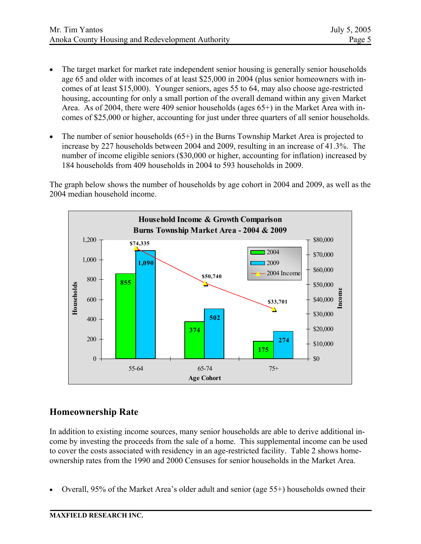- The target market for market rate independent senior housing is generally senior households age 65 and older with incomes of at least \$25,000 in 2004 (plus senior homeowners with incomes of at least \$15,000). Younger seniors, ages 55 to 64, may also choose age-restricted housing, accounting for only a small portion of the overall demand within any given Market Area. As of 2004, there were 409 senior households (ages 65+) in the Market Area with incomes of \$25,000 or higher, accounting for just under three quarters of all senior households.
- The number of senior households  $(65+)$  in the Burns Township Market Area is projected to increase by 227 households between 2004 and 2009, resulting in an increase of 41.3%. The number of income eligible seniors (\$30,000 or higher, accounting for inflation) increased by 184 households from 409 households in 2004 to 593 households in 2009.

The graph below shows the number of households by age cohort in 2004 and 2009, as well as the 2004 median household income.



## **Homeownership Rate**

In addition to existing income sources, many senior households are able to derive additional income by investing the proceeds from the sale of a home. This supplemental income can be used to cover the costs associated with residency in an age-restricted facility. Table 2 shows homeownership rates from the 1990 and 2000 Censuses for senior households in the Market Area.

• Overall, 95% of the Market Area's older adult and senior (age 55+) households owned their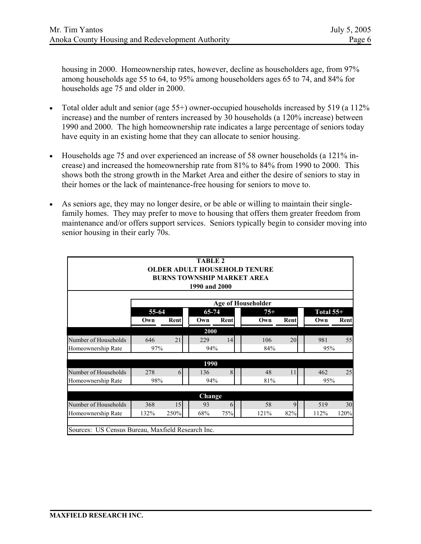housing in 2000. Homeownership rates, however, decline as householders age, from 97% among households age 55 to 64, to 95% among householders ages 65 to 74, and 84% for households age 75 and older in 2000.

- Total older adult and senior (age 55+) owner-occupied households increased by 519 (a 112% increase) and the number of renters increased by 30 households (a 120% increase) between 1990 and 2000. The high homeownership rate indicates a large percentage of seniors today have equity in an existing home that they can allocate to senior housing.
- Households age 75 and over experienced an increase of 58 owner households (a 121% increase) and increased the homeownership rate from 81% to 84% from 1990 to 2000. This shows both the strong growth in the Market Area and either the desire of seniors to stay in their homes or the lack of maintenance-free housing for seniors to move to.
- As seniors age, they may no longer desire, or be able or willing to maintain their singlefamily homes. They may prefer to move to housing that offers them greater freedom from maintenance and/or offers support services. Seniors typically begin to consider moving into senior housing in their early 70s.

|                                                   |       |      | <b>TABLE 2</b><br>1990 and 2000 |                | <b>OLDER ADULT HOUSEHOLD TENURE</b><br><b>BURNS TOWNSHIP MARKET AREA</b> |      |             |      |
|---------------------------------------------------|-------|------|---------------------------------|----------------|--------------------------------------------------------------------------|------|-------------|------|
|                                                   |       |      |                                 |                | <b>Age of Householder</b>                                                |      |             |      |
|                                                   | 55-64 |      | 65-74                           |                | $75+$                                                                    |      | Total $55+$ |      |
|                                                   | Own   | Rent | Own                             | Rent           | Own                                                                      | Rent | Own         | Rent |
|                                                   |       |      | 2000                            |                |                                                                          |      |             |      |
| Number of Households                              | 646   | 21   | 229                             | 14             | 106                                                                      | 20   | 981         | 55   |
| Homeownership Rate                                | 97%   |      | 94%                             |                | 84%                                                                      |      | 95%         |      |
|                                                   |       |      | 1990                            |                |                                                                          |      |             |      |
| Number of Households                              | 278   | 6    | 136                             | $\overline{8}$ | 48                                                                       | 11   | 462         | 25   |
| Homeownership Rate                                | 98%   |      | 94%                             |                | 81%                                                                      |      | 95%         |      |
|                                                   |       |      |                                 |                |                                                                          |      |             |      |
|                                                   |       |      | Change                          |                |                                                                          |      |             |      |
| Number of Households                              | 368   | 15   | 93                              | 6              | 58                                                                       | 9    | 519         | 30   |
| Homeownership Rate                                | 132%  | 250% | 68%                             | 75%            | 121%                                                                     | 82%  | 112%        | 120% |
|                                                   |       |      |                                 |                |                                                                          |      |             |      |
| Sources: US Census Bureau, Maxfield Research Inc. |       |      |                                 |                |                                                                          |      |             |      |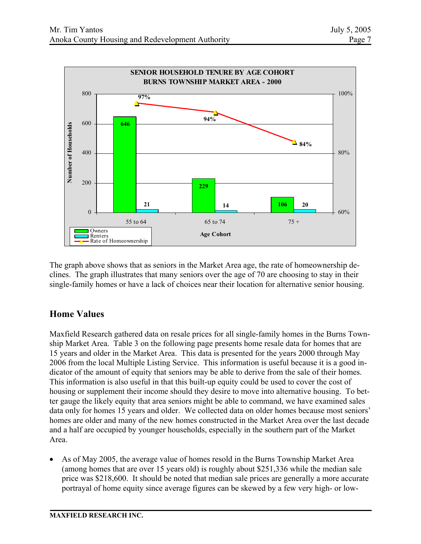

The graph above shows that as seniors in the Market Area age, the rate of homeownership declines. The graph illustrates that many seniors over the age of 70 are choosing to stay in their single-family homes or have a lack of choices near their location for alternative senior housing.

# **Home Values**

Maxfield Research gathered data on resale prices for all single-family homes in the Burns Township Market Area. Table 3 on the following page presents home resale data for homes that are 15 years and older in the Market Area. This data is presented for the years 2000 through May 2006 from the local Multiple Listing Service. This information is useful because it is a good indicator of the amount of equity that seniors may be able to derive from the sale of their homes. This information is also useful in that this built-up equity could be used to cover the cost of housing or supplement their income should they desire to move into alternative housing. To better gauge the likely equity that area seniors might be able to command, we have examined sales data only for homes 15 years and older. We collected data on older homes because most seniors' homes are older and many of the new homes constructed in the Market Area over the last decade and a half are occupied by younger households, especially in the southern part of the Market Area.

• As of May 2005, the average value of homes resold in the Burns Township Market Area (among homes that are over 15 years old) is roughly about \$251,336 while the median sale price was \$218,600. It should be noted that median sale prices are generally a more accurate portrayal of home equity since average figures can be skewed by a few very high- or low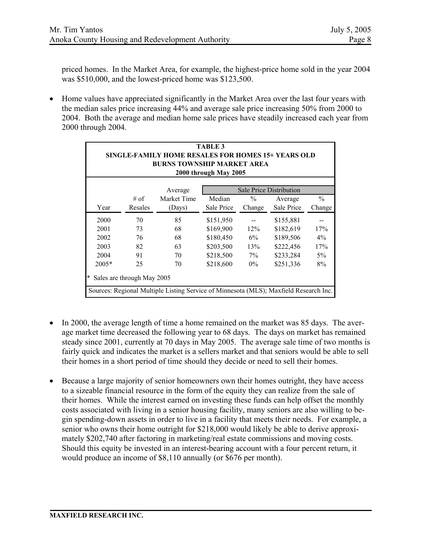priced homes. In the Market Area, for example, the highest-price home sold in the year 2004 was \$510,000, and the lowest-priced home was \$123,500.

• Home values have appreciated significantly in the Market Area over the last four years with the median sales price increasing 44% and average sale price increasing 50% from 2000 to 2004. Both the average and median home sale prices have steadily increased each year from 2000 through 2004.

| <b>TABLE 3</b><br>SINGLE-FAMILY HOME RESALES FOR HOMES 15+ YEARS OLD<br><b>BURNS TOWNSHIP MARKET AREA</b><br>2000 through May 2005 |                                           |                                                                                       |            |               |            |               |  |  |  |
|------------------------------------------------------------------------------------------------------------------------------------|-------------------------------------------|---------------------------------------------------------------------------------------|------------|---------------|------------|---------------|--|--|--|
|                                                                                                                                    | <b>Sale Price Distribution</b><br>Average |                                                                                       |            |               |            |               |  |  |  |
|                                                                                                                                    | # of                                      | Market Time                                                                           | Median     | $\frac{0}{0}$ | Average    | $\frac{0}{0}$ |  |  |  |
| Year                                                                                                                               | Resales                                   | (Days)                                                                                | Sale Price | Change        | Sale Price | Change        |  |  |  |
| 2000                                                                                                                               | 70                                        | 85                                                                                    | \$151,950  |               | \$155,881  |               |  |  |  |
| 2001                                                                                                                               | 73                                        | 68                                                                                    | \$169,900  | 12%           | \$182,619  | 17%           |  |  |  |
| 2002                                                                                                                               | 76                                        | 68                                                                                    | \$180,450  | $6\%$         | \$189,506  | $4\%$         |  |  |  |
| 2003                                                                                                                               | 82                                        | 63                                                                                    | \$203,500  | 13%           | \$222,456  | 17%           |  |  |  |
| 2004                                                                                                                               | 91                                        | 70                                                                                    | \$218,500  | $7\%$         | \$233,284  | $5\%$         |  |  |  |
| $2005*$                                                                                                                            | 25                                        | 70                                                                                    | \$218,600  | $0\%$         | \$251,336  | 8%            |  |  |  |
| Sales are through May 2005                                                                                                         |                                           |                                                                                       |            |               |            |               |  |  |  |
|                                                                                                                                    |                                           | Sources: Regional Multiple Listing Service of Minnesota (MLS); Maxfield Research Inc. |            |               |            |               |  |  |  |

- In 2000, the average length of time a home remained on the market was 85 days. The average market time decreased the following year to 68 days. The days on market has remained steady since 2001, currently at 70 days in May 2005. The average sale time of two months is fairly quick and indicates the market is a sellers market and that seniors would be able to sell their homes in a short period of time should they decide or need to sell their homes.
- Because a large majority of senior homeowners own their homes outright, they have access to a sizeable financial resource in the form of the equity they can realize from the sale of their homes. While the interest earned on investing these funds can help offset the monthly costs associated with living in a senior housing facility, many seniors are also willing to begin spending-down assets in order to live in a facility that meets their needs. For example, a senior who owns their home outright for \$218,000 would likely be able to derive approximately \$202,740 after factoring in marketing/real estate commissions and moving costs. Should this equity be invested in an interest-bearing account with a four percent return, it would produce an income of \$8,110 annually (or \$676 per month).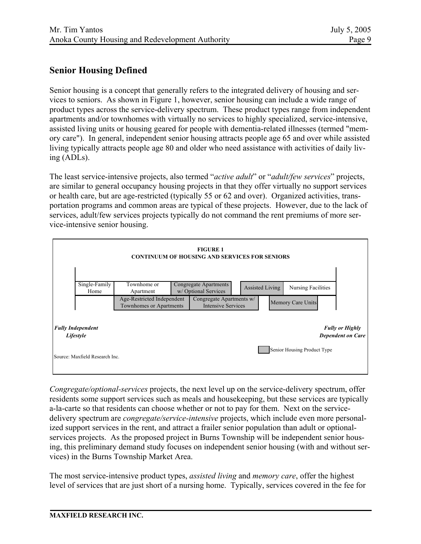## **Senior Housing Defined**

Senior housing is a concept that generally refers to the integrated delivery of housing and services to seniors. As shown in Figure 1, however, senior housing can include a wide range of product types across the service-delivery spectrum. These product types range from independent apartments and/or townhomes with virtually no services to highly specialized, service-intensive, assisted living units or housing geared for people with dementia-related illnesses (termed "memory care"). In general, independent senior housing attracts people age 65 and over while assisted living typically attracts people age 80 and older who need assistance with activities of daily living (ADLs).

The least service-intensive projects, also termed "*active adult*" or "*adult/few services*" projects, are similar to general occupancy housing projects in that they offer virtually no support services or health care, but are age-restricted (typically 55 or 62 and over). Organized activities, transportation programs and common areas are typical of these projects. However, due to the lack of services, adult/few services projects typically do not command the rent premiums of more service-intensive senior housing.



*Congregate/optional-services* projects, the next level up on the service-delivery spectrum, offer residents some support services such as meals and housekeeping, but these services are typically a-la-carte so that residents can choose whether or not to pay for them. Next on the servicedelivery spectrum are *congregate/service-intensive* projects, which include even more personalized support services in the rent, and attract a frailer senior population than adult or optionalservices projects. As the proposed project in Burns Township will be independent senior housing, this preliminary demand study focuses on independent senior housing (with and without services) in the Burns Township Market Area.

The most service-intensive product types, *assisted living* and *memory care*, offer the highest level of services that are just short of a nursing home. Typically, services covered in the fee for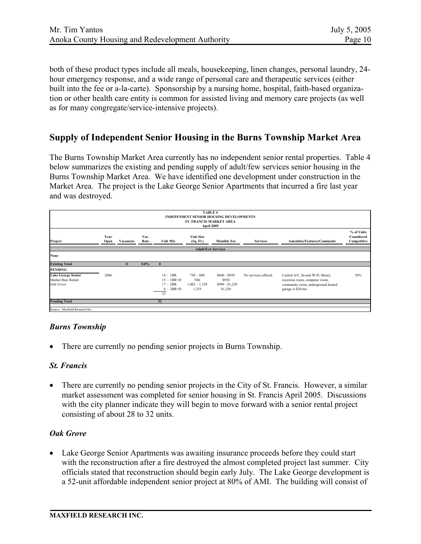both of these product types include all meals, housekeeping, linen changes, personal laundry, 24 hour emergency response, and a wide range of personal care and therapeutic services (either built into the fee or a-la-carte). Sponsorship by a nursing home, hospital, faith-based organization or other health care entity is common for assisted living and memory care projects (as well as for many congregate/service-intensive projects).

## **Supply of Independent Senior Housing in the Burns Township Market Area**

The Burns Township Market Area currently has no independent senior rental properties. Table 4 below summarizes the existing and pending supply of adult/few services senior housing in the Burns Township Market Area. We have identified one development under construction in the Market Area. The project is the Lake George Senior Apartments that incurred a fire last year and was destroyed.

|                                                              |              |           |              |                                                                   | <b>TABLE 4</b><br><b>ST. FRANCIS MARKET AREA</b><br>April 2005 | <b>INDEPENDENT SENIOR HOUSING DEVELOPMENTS</b>       |                      |                                                                                                                                  |                                         |
|--------------------------------------------------------------|--------------|-----------|--------------|-------------------------------------------------------------------|----------------------------------------------------------------|------------------------------------------------------|----------------------|----------------------------------------------------------------------------------------------------------------------------------|-----------------------------------------|
| Project                                                      | Year<br>Open | Vacancies | Vac.<br>Rate | <b>Unit Mix</b>                                                   | <b>Unit Size</b><br>(Sq. Ft.)                                  | <b>Monthly Fee</b>                                   | <b>Services</b>      | <b>Amenities/Features/Comments</b>                                                                                               | % of Units<br>Considered<br>Competitive |
|                                                              |              |           |              |                                                                   | <b>Adult/Few Services</b>                                      |                                                      |                      |                                                                                                                                  |                                         |
| None                                                         |              |           |              |                                                                   |                                                                |                                                      |                      |                                                                                                                                  |                                         |
| <b>Existing Total</b>                                        |              | $\bf{0}$  | $0.0\%$      | $\mathbf{0}$                                                      |                                                                |                                                      |                      |                                                                                                                                  |                                         |
| <b>PENDING</b>                                               |              |           |              |                                                                   |                                                                |                                                      |                      |                                                                                                                                  |                                         |
| <b>Lake George Senior</b><br>Market Rate Rental<br>Oak Grove | 2006         |           |              | $14 - 1BR$<br>$15 - 1BR + D$<br>$17 - 2BR$<br>$6 - 2BR + D$<br>52 | $750 - 800$<br>946<br>$1,002 - 1,328$<br>1,355                 | $$600 - $850$<br>\$950<br>$$990 - $1,220$<br>\$1,250 | No services offered. | Central A/C, In-unit W/D, library,<br>excersise room, computer room,<br>community room, underground heated<br>garage is \$30/mo. | 50%                                     |
| <b>Pending Total</b>                                         |              |           |              | 52                                                                |                                                                |                                                      |                      |                                                                                                                                  |                                         |
| Source: Maxfield Research Inc.                               |              |           |              |                                                                   |                                                                |                                                      |                      |                                                                                                                                  |                                         |

#### *Burns Township*

There are currently no pending senior projects in Burns Township.

#### *St. Francis*

• There are currently no pending senior projects in the City of St. Francis. However, a similar market assessment was completed for senior housing in St. Francis April 2005. Discussions with the city planner indicate they will begin to move forward with a senior rental project consisting of about 28 to 32 units.

#### *Oak Grove*

• Lake George Senior Apartments was awaiting insurance proceeds before they could start with the reconstruction after a fire destroyed the almost completed project last summer. City officials stated that reconstruction should begin early July. The Lake George development is a 52-unit affordable independent senior project at 80% of AMI. The building will consist of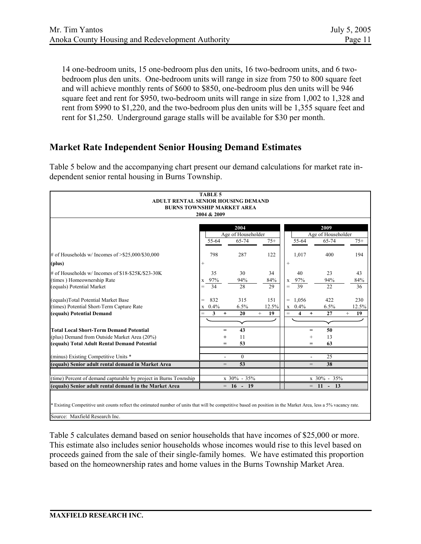14 one-bedroom units, 15 one-bedroom plus den units, 16 two-bedroom units, and 6 twobedroom plus den units. One-bedroom units will range in size from 750 to 800 square feet and will achieve monthly rents of \$600 to \$850, one-bedroom plus den units will be 946 square feet and rent for \$950, two-bedroom units will range in size from 1,002 to 1,328 and rent from \$990 to \$1,220, and the two-bedroom plus den units will be 1,355 square feet and rent for \$1,250. Underground garage stalls will be available for \$30 per month.

# **Market Rate Independent Senior Housing Demand Estimates**

Table 5 below and the accompanying chart present our demand calculations for market rate independent senior rental housing in Burns Township.

| <b>TABLE 5</b>                                                                                                                                                  |                            |                    |              |                                                           |                    |              |
|-----------------------------------------------------------------------------------------------------------------------------------------------------------------|----------------------------|--------------------|--------------|-----------------------------------------------------------|--------------------|--------------|
| ADULT RENTAL SENIOR HOUSING DEMAND                                                                                                                              |                            |                    |              |                                                           |                    |              |
| <b>BURNS TOWNSHIP MARKET AREA</b>                                                                                                                               |                            |                    |              |                                                           |                    |              |
| 2004 & 2009                                                                                                                                                     |                            |                    |              |                                                           |                    |              |
|                                                                                                                                                                 |                            |                    |              |                                                           |                    |              |
|                                                                                                                                                                 |                            | 2004               |              |                                                           | 2009               |              |
|                                                                                                                                                                 |                            | Age of Householder |              |                                                           | Age of Householder |              |
|                                                                                                                                                                 | 55-64                      | 65-74              | $75+$        | 55-64                                                     | 65-74              | $75+$        |
| # of Households w/ Incomes of $> $25,000/$30,000$                                                                                                               | 798                        | 287                | 122          | 1,017                                                     | 400                | 194          |
| (plus)                                                                                                                                                          | $\! + \!\!\!\!$            |                    |              | $^{+}$                                                    |                    |              |
| # of Households w/ Incomes of \$18-\$25K/\$23-30K                                                                                                               | 35                         | 30                 | 34           | 40                                                        | 23                 | 43           |
| (times) Homeownership Rate                                                                                                                                      | x 97%                      | 94%                | 84%          | 97%<br>X                                                  | 94%                | 84%          |
| (equals) Potential Market                                                                                                                                       | 34<br>$=$                  | 28                 | 29           | 39<br>$=$                                                 | 22                 | 36           |
| (equals)Total Potential Market Base                                                                                                                             | 832<br>$\qquad \qquad =$   | 315                | 151          | 1,056<br>$\qquad \qquad =$                                | 422                | 230          |
| (times) Potential Short-Term Capture Rate                                                                                                                       | 0.4%<br>X                  | 6.5%               | 12.5%        | 0.4%<br>$\mathbf X$                                       | 6.5%               | 12.5%        |
| (equals) Potential Demand                                                                                                                                       | $\mathbf{3}$<br>$=$        | 20<br>$\ddot{}$    | $^{+}$<br>19 | $\overline{\mathbf{4}}$<br>$\qquad \qquad =$<br>$\ddot{}$ | 27                 | 19<br>$^{+}$ |
|                                                                                                                                                                 |                            |                    |              |                                                           |                    |              |
| <b>Total Local Short-Term Demand Potential</b>                                                                                                                  |                            | 43<br>$=$          |              | $=$                                                       | 50                 |              |
| (plus) Demand from Outside Market Area (20%)                                                                                                                    |                            | 11<br>$^{+}$       |              | $^{+}$                                                    | 13                 |              |
| (equals) Total Adult Rental Demand Potential                                                                                                                    |                            | 53<br>$=$          |              | $=$                                                       | 63                 |              |
| (minus) Existing Competitive Units *                                                                                                                            |                            | $\Omega$           |              |                                                           | 25                 |              |
| (equals) Senior adult rental demand in Market Area                                                                                                              |                            | 53<br>$=$          |              | $=$                                                       | 38                 |              |
|                                                                                                                                                                 |                            |                    |              |                                                           |                    |              |
| (time) Percent of demand capturable by project in Burns Township                                                                                                | x 30% - 35%<br>x 30% - 35% |                    |              |                                                           |                    |              |
| (equals) Senior adult rental demand in the Market Area                                                                                                          |                            | $= 16 - 19$        |              |                                                           | $= 11 - 13$        |              |
|                                                                                                                                                                 |                            |                    |              |                                                           |                    |              |
|                                                                                                                                                                 |                            |                    |              |                                                           |                    |              |
| * Existing Competitive unit counts reflect the estimated number of units that will be competitive based on position in the Market Area, less a 5% vacancy rate. |                            |                    |              |                                                           |                    |              |
| Source: Maxfield Research Inc.                                                                                                                                  |                            |                    |              |                                                           |                    |              |

Table 5 calculates demand based on senior households that have incomes of \$25,000 or more. This estimate also includes senior households whose incomes would rise to this level based on proceeds gained from the sale of their single-family homes. We have estimated this proportion based on the homeownership rates and home values in the Burns Township Market Area.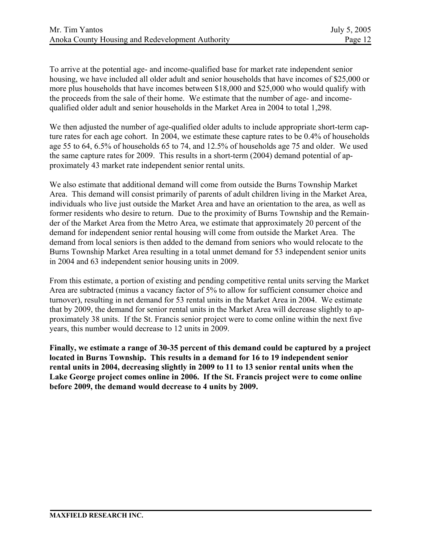To arrive at the potential age- and income-qualified base for market rate independent senior housing, we have included all older adult and senior households that have incomes of \$25,000 or more plus households that have incomes between \$18,000 and \$25,000 who would qualify with the proceeds from the sale of their home. We estimate that the number of age- and incomequalified older adult and senior households in the Market Area in 2004 to total 1,298.

We then adjusted the number of age-qualified older adults to include appropriate short-term capture rates for each age cohort. In 2004, we estimate these capture rates to be 0.4% of households age 55 to 64, 6.5% of households 65 to 74, and 12.5% of households age 75 and older. We used the same capture rates for 2009. This results in a short-term (2004) demand potential of approximately 43 market rate independent senior rental units.

We also estimate that additional demand will come from outside the Burns Township Market Area. This demand will consist primarily of parents of adult children living in the Market Area, individuals who live just outside the Market Area and have an orientation to the area, as well as former residents who desire to return. Due to the proximity of Burns Township and the Remainder of the Market Area from the Metro Area, we estimate that approximately 20 percent of the demand for independent senior rental housing will come from outside the Market Area. The demand from local seniors is then added to the demand from seniors who would relocate to the Burns Township Market Area resulting in a total unmet demand for 53 independent senior units in 2004 and 63 independent senior housing units in 2009.

From this estimate, a portion of existing and pending competitive rental units serving the Market Area are subtracted (minus a vacancy factor of 5% to allow for sufficient consumer choice and turnover), resulting in net demand for 53 rental units in the Market Area in 2004. We estimate that by 2009, the demand for senior rental units in the Market Area will decrease slightly to approximately 38 units. If the St. Francis senior project were to come online within the next five years, this number would decrease to 12 units in 2009.

**Finally, we estimate a range of 30-35 percent of this demand could be captured by a project located in Burns Township. This results in a demand for 16 to 19 independent senior rental units in 2004, decreasing slightly in 2009 to 11 to 13 senior rental units when the Lake George project comes online in 2006. If the St. Francis project were to come online before 2009, the demand would decrease to 4 units by 2009.**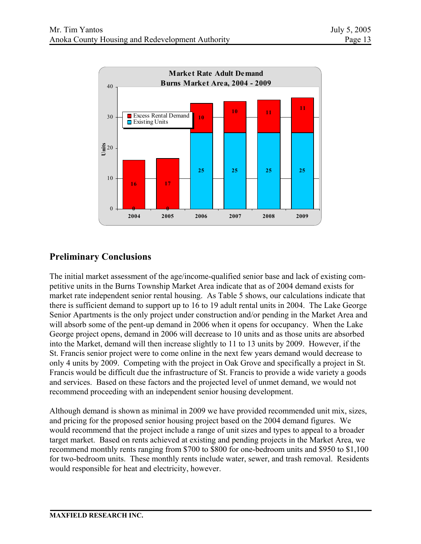

# **Preliminary Conclusions**

The initial market assessment of the age/income-qualified senior base and lack of existing competitive units in the Burns Township Market Area indicate that as of 2004 demand exists for market rate independent senior rental housing. As Table 5 shows, our calculations indicate that there is sufficient demand to support up to 16 to 19 adult rental units in 2004. The Lake George Senior Apartments is the only project under construction and/or pending in the Market Area and will absorb some of the pent-up demand in 2006 when it opens for occupancy. When the Lake George project opens, demand in 2006 will decrease to 10 units and as those units are absorbed into the Market, demand will then increase slightly to 11 to 13 units by 2009. However, if the St. Francis senior project were to come online in the next few years demand would decrease to only 4 units by 2009. Competing with the project in Oak Grove and specifically a project in St. Francis would be difficult due the infrastructure of St. Francis to provide a wide variety a goods and services. Based on these factors and the projected level of unmet demand, we would not recommend proceeding with an independent senior housing development.

Although demand is shown as minimal in 2009 we have provided recommended unit mix, sizes, and pricing for the proposed senior housing project based on the 2004 demand figures. We would recommend that the project include a range of unit sizes and types to appeal to a broader target market. Based on rents achieved at existing and pending projects in the Market Area, we recommend monthly rents ranging from \$700 to \$800 for one-bedroom units and \$950 to \$1,100 for two-bedroom units. These monthly rents include water, sewer, and trash removal. Residents would responsible for heat and electricity, however.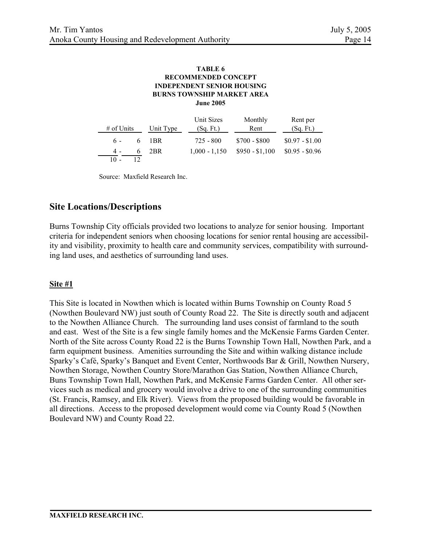#### **TABLE 6 BURNS TOWNSHIP MARKET AREA INDEPENDENT SENIOR HOUSING RECOMMENDED CONCEPT June 2005**

| $#$ of Units | Unit Type | Unit Sizes<br>(Sq. Ft.) | Monthly<br>Rent | Rent per<br>(Sq. Ft.) |
|--------------|-----------|-------------------------|-----------------|-----------------------|
| $6 -$        | 6 IBR     | 725 - 800               | $$700 - $800$   | $$0.97 - $1.00$       |
| 4 -          | 6 2BR     | $1,000 - 1,150$         | $$950 - $1,100$ | $$0.95 - $0.96$       |
| 10 -         |           |                         |                 |                       |

Source: Maxfield Research Inc.

### **Site Locations/Descriptions**

Burns Township City officials provided two locations to analyze for senior housing. Important criteria for independent seniors when choosing locations for senior rental housing are accessibility and visibility, proximity to health care and community services, compatibility with surrounding land uses, and aesthetics of surrounding land uses.

### **Site #1**

This Site is located in Nowthen which is located within Burns Township on County Road 5 (Nowthen Boulevard NW) just south of County Road 22. The Site is directly south and adjacent to the Nowthen Alliance Church. The surrounding land uses consist of farmland to the south and east. West of the Site is a few single family homes and the McKensie Farms Garden Center. North of the Site across County Road 22 is the Burns Township Town Hall, Nowthen Park, and a farm equipment business. Amenities surrounding the Site and within walking distance include Sparky's Café, Sparky's Banquet and Event Center, Northwoods Bar & Grill, Nowthen Nursery, Nowthen Storage, Nowthen Country Store/Marathon Gas Station, Nowthen Alliance Church, Buns Township Town Hall, Nowthen Park, and McKensie Farms Garden Center. All other services such as medical and grocery would involve a drive to one of the surrounding communities (St. Francis, Ramsey, and Elk River). Views from the proposed building would be favorable in all directions. Access to the proposed development would come via County Road 5 (Nowthen Boulevard NW) and County Road 22.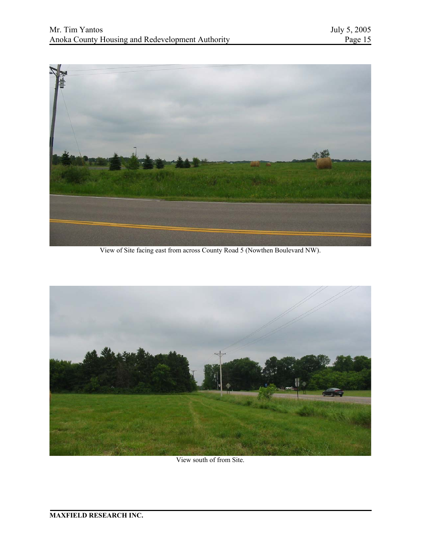

View of Site facing east from across County Road 5 (Nowthen Boulevard NW).



View south of from Site.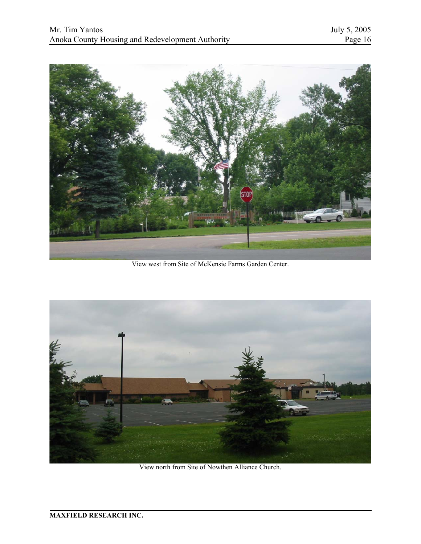

View west from Site of McKensie Farms Garden Center.



View north from Site of Nowthen Alliance Church.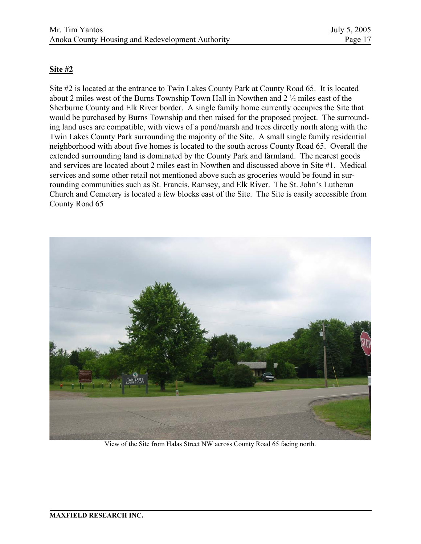### **Site #2**

Site #2 is located at the entrance to Twin Lakes County Park at County Road 65. It is located about 2 miles west of the Burns Township Town Hall in Nowthen and 2 ½ miles east of the Sherburne County and Elk River border. A single family home currently occupies the Site that would be purchased by Burns Township and then raised for the proposed project. The surrounding land uses are compatible, with views of a pond/marsh and trees directly north along with the Twin Lakes County Park surrounding the majority of the Site. A small single family residential neighborhood with about five homes is located to the south across County Road 65. Overall the extended surrounding land is dominated by the County Park and farmland. The nearest goods and services are located about 2 miles east in Nowthen and discussed above in Site #1. Medical services and some other retail not mentioned above such as groceries would be found in surrounding communities such as St. Francis, Ramsey, and Elk River. The St. John's Lutheran Church and Cemetery is located a few blocks east of the Site. The Site is easily accessible from County Road 65



View of the Site from Halas Street NW across County Road 65 facing north.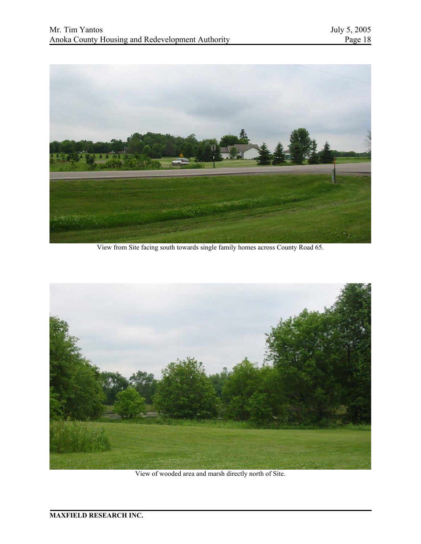

View from Site facing south towards single family homes across County Road 65.



View of wooded area and marsh directly north of Site.